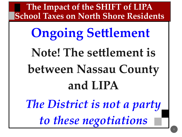# **Ongoing Settlement Note! The settlement is between Nassau County and LIPA** *The District is not a party to these negotiations*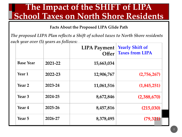**Facts About the Proposed LIPA Glide Path**

*The proposed LIPA Plan reflects a Shift of school taxes to North Shore residents each year over (5) years as follows:*

|                   |         | <b>LIPA Payment</b> | <b>Yearly Shift of</b><br>Offer Taxes from LIPA |
|-------------------|---------|---------------------|-------------------------------------------------|
| <b>Base Year</b>  | 2021-22 | 15,663,034          |                                                 |
| Year 1            | 2022-23 | 12,906,767          | (2,756,267)                                     |
| Year 2            | 2023-24 | 11,061,516          | (1,845,251)                                     |
| Year <sub>3</sub> | 2024-25 | 8,672,846           | (2,388,670)                                     |
| Year 4            | 2025-26 | 8,457,816           | (215,030)                                       |
| Year <sub>5</sub> | 2026-27 | 8,378,495           | (79, 321)                                       |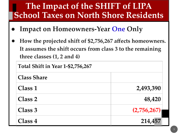- **Impact on Homeowners-Year One Only**
- **● How the projected shift of \$2,756,267 affects homeowners. It assumes the shift occurs from class 3 to the remaining three classes (1, 2 and 4)**

**Total Shift in Year 1-\$2,756,267**

| <b>Class Share</b> |             |
|--------------------|-------------|
| Class 1            | 2,493,390   |
| <b>Class 2</b>     | 48,420      |
| Class 3            | (2,756,267) |
| Class 4            | 214,457     |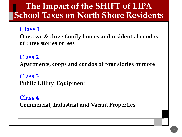#### **Class 1**

**One, two & three family homes and residential condos of three stories or less**

#### **Class 2**

**Apartments, coops and condos of four stories or more**

**Class 3 Public Utility Equipment**

**Class 4 Commercial, Industrial and Vacant Properties**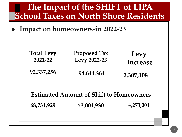**● Impact on homeowners-in 2022-23**

| <b>Total Levy</b><br>2021-22 | <b>Proposed Tax</b><br>Levy 2022-23            | Levy<br><b>Increase</b> |
|------------------------------|------------------------------------------------|-------------------------|
| 92,337,256                   | 94,644,364                                     | 2,307,108               |
|                              | <b>Estimated Amount of Shift to Homeowners</b> |                         |
| 68,731,929                   | 73,004,930                                     | 4,273,001               |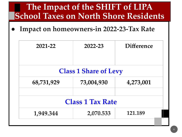**● Impact on homeowners-in 2022-23-Tax Rate**

| 2021-22    | 2022-23                      | <b>Difference</b> |
|------------|------------------------------|-------------------|
|            |                              |                   |
|            | <b>Class 1 Share of Levy</b> |                   |
| 68,731,929 | 73,004,930                   | 4,273,001         |
|            | <b>Class 1 Tax Rate</b>      |                   |
| 1,949.344  | 2,070.533                    | 121.189           |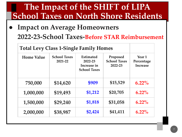**Impact on Average Homeowners 2022-23-School Taxes-Before STAR Reimbursement**

| <b>Total Levy Class 1-Single Family Homes</b> |                                |                                                                   |                                            |                                                    |
|-----------------------------------------------|--------------------------------|-------------------------------------------------------------------|--------------------------------------------|----------------------------------------------------|
| <b>Home Value</b>                             | <b>School Taxes</b><br>2021-22 | <b>Estimated</b><br>2022-23<br>Increase in<br><b>School Taxes</b> | Proposed<br><b>School Taxes</b><br>2022-23 | Year <sub>1</sub><br>Percentage<br><b>Increase</b> |
| 750,000                                       | \$14,620                       | \$909                                                             | \$15,529                                   | $6.22\%$                                           |
| 1,000,000                                     | \$19,493                       | \$1,212                                                           | \$20,705                                   | $6.22\%$                                           |
| 1,500,000                                     | \$29,240                       | \$1,818                                                           | \$31,058                                   | $6.22\%$                                           |
| 2,000,000                                     | \$38,987                       | \$2,424                                                           | \$41,411                                   | $6.22\%$                                           |